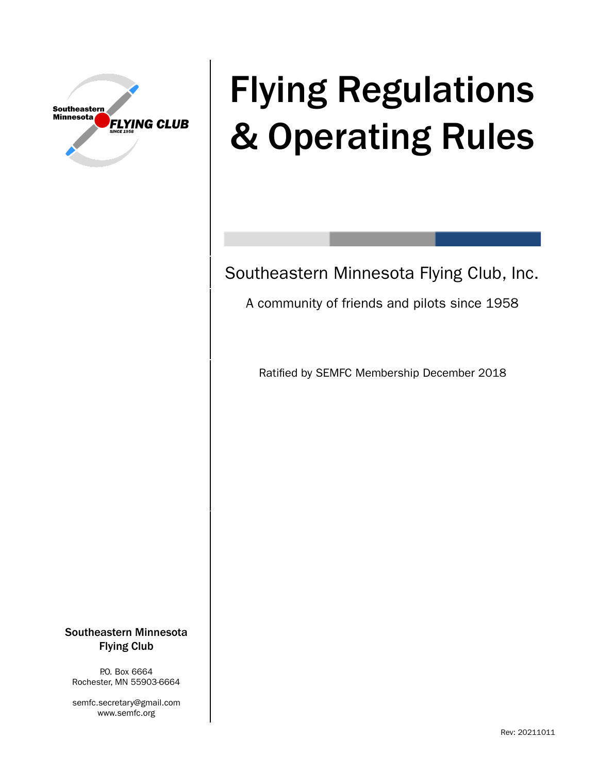

# Flying Regulations & Operating Rules

Southeastern Minnesota Flying Club, Inc.

A community of friends and pilots since 1958

Ratified by SEMFC Membership December 2018

Southeastern Minnesota Flying Club

P.O. Box 6664 Rochester, MN 55903-6664

semfc.secretary@gmail.com www.semfc.org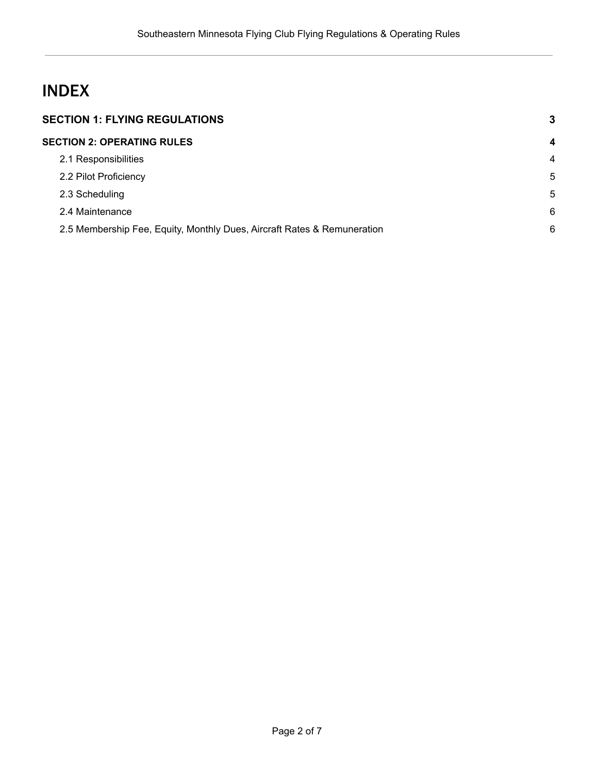# INDEX

| <b>SECTION 1: FLYING REGULATIONS</b> |                                                                         |                |
|--------------------------------------|-------------------------------------------------------------------------|----------------|
|                                      | <b>SECTION 2: OPERATING RULES</b>                                       | $\overline{4}$ |
|                                      | 2.1 Responsibilities                                                    | 4              |
|                                      | 2.2 Pilot Proficiency                                                   | 5              |
|                                      | 2.3 Scheduling                                                          | 5              |
|                                      | 2.4 Maintenance                                                         | 6              |
|                                      | 2.5 Membership Fee, Equity, Monthly Dues, Aircraft Rates & Remuneration | 6              |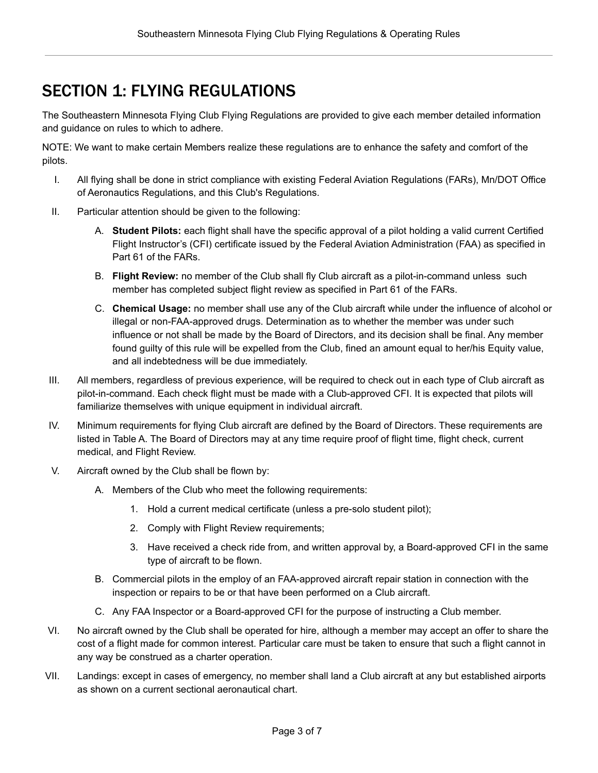## <span id="page-2-0"></span>SECTION 1: FLYING REGULATIONS

The Southeastern Minnesota Flying Club Flying Regulations are provided to give each member detailed information and guidance on rules to which to adhere.

NOTE: We want to make certain Members realize these regulations are to enhance the safety and comfort of the pilots.

- I. All flying shall be done in strict compliance with existing Federal Aviation Regulations (FARs), Mn/DOT Office of Aeronautics Regulations, and this Club's Regulations.
- II. Particular attention should be given to the following:
	- A. **Student Pilots:** each flight shall have the specific approval of a pilot holding a valid current Certified Flight Instructor's (CFI) certificate issued by the Federal Aviation Administration (FAA) as specified in Part 61 of the FARs.
	- B. **Flight Review:** no member of the Club shall fly Club aircraft as a pilot-in-command unless such member has completed subject flight review as specified in Part 61 of the FARs.
	- C. **Chemical Usage:** no member shall use any of the Club aircraft while under the influence of alcohol or illegal or non-FAA-approved drugs. Determination as to whether the member was under such influence or not shall be made by the Board of Directors, and its decision shall be final. Any member found guilty of this rule will be expelled from the Club, fined an amount equal to her/his Equity value, and all indebtedness will be due immediately.
- III. All members, regardless of previous experience, will be required to check out in each type of Club aircraft as pilot-in-command. Each check flight must be made with a Club-approved CFI. It is expected that pilots will familiarize themselves with unique equipment in individual aircraft.
- IV. Minimum requirements for flying Club aircraft are defined by the Board of Directors. These requirements are listed in Table A. The Board of Directors may at any time require proof of flight time, flight check, current medical, and Flight Review.
- V. Aircraft owned by the Club shall be flown by:
	- A. Members of the Club who meet the following requirements:
		- 1. Hold a current medical certificate (unless a pre-solo student pilot);
		- 2. Comply with Flight Review requirements;
		- 3. Have received a check ride from, and written approval by, a Board-approved CFI in the same type of aircraft to be flown.
	- B. Commercial pilots in the employ of an FAA-approved aircraft repair station in connection with the inspection or repairs to be or that have been performed on a Club aircraft.
	- C. Any FAA Inspector or a Board-approved CFI for the purpose of instructing a Club member.
- VI. No aircraft owned by the Club shall be operated for hire, although a member may accept an offer to share the cost of a flight made for common interest. Particular care must be taken to ensure that such a flight cannot in any way be construed as a charter operation.
- VII. Landings: except in cases of emergency, no member shall land a Club aircraft at any but established airports as shown on a current sectional aeronautical chart.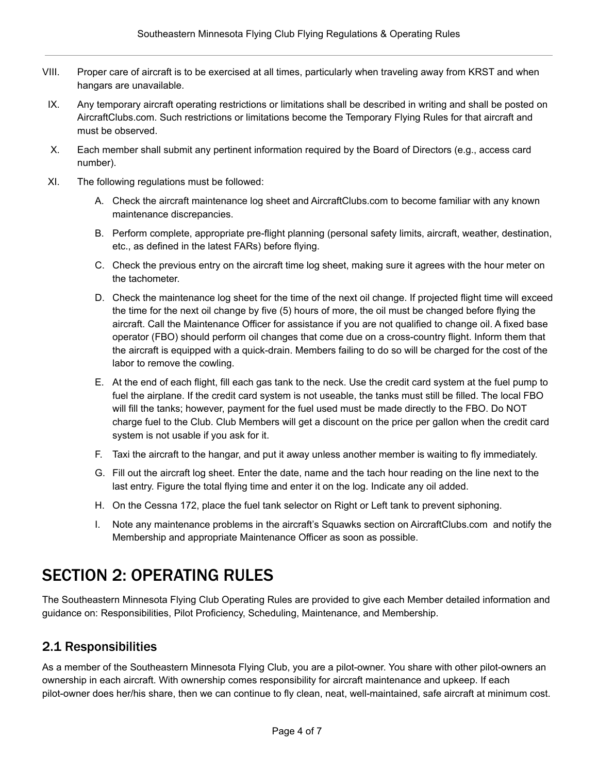- VIII. Proper care of aircraft is to be exercised at all times, particularly when traveling away from KRST and when hangars are unavailable.
- IX. Any temporary aircraft operating restrictions or limitations shall be described in writing and shall be posted on AircraftClubs.com. Such restrictions or limitations become the Temporary Flying Rules for that aircraft and must be observed.
- X. Each member shall submit any pertinent information required by the Board of Directors (e.g., access card number).
- XI. The following regulations must be followed:
	- A. Check the aircraft maintenance log sheet and AircraftClubs.com to become familiar with any known maintenance discrepancies.
	- B. Perform complete, appropriate pre-flight planning (personal safety limits, aircraft, weather, destination, etc., as defined in the latest FARs) before flying.
	- C. Check the previous entry on the aircraft time log sheet, making sure it agrees with the hour meter on the tachometer.
	- D. Check the maintenance log sheet for the time of the next oil change. If projected flight time will exceed the time for the next oil change by five (5) hours of more, the oil must be changed before flying the aircraft. Call the Maintenance Officer for assistance if you are not qualified to change oil. A fixed base operator (FBO) should perform oil changes that come due on a cross-country flight. Inform them that the aircraft is equipped with a quick-drain. Members failing to do so will be charged for the cost of the labor to remove the cowling.
	- E. At the end of each flight, fill each gas tank to the neck. Use the credit card system at the fuel pump to fuel the airplane. If the credit card system is not useable, the tanks must still be filled. The local FBO will fill the tanks; however, payment for the fuel used must be made directly to the FBO. Do NOT charge fuel to the Club. Club Members will get a discount on the price per gallon when the credit card system is not usable if you ask for it.
	- F. Taxi the aircraft to the hangar, and put it away unless another member is waiting to fly immediately.
	- G. Fill out the aircraft log sheet. Enter the date, name and the tach hour reading on the line next to the last entry. Figure the total flying time and enter it on the log. Indicate any oil added.
	- H. On the Cessna 172, place the fuel tank selector on Right or Left tank to prevent siphoning.
	- I. Note any maintenance problems in the aircraft's Squawks section on AircraftClubs.com and notify the Membership and appropriate Maintenance Officer as soon as possible.

## <span id="page-3-0"></span>SECTION 2: OPERATING RULES

The Southeastern Minnesota Flying Club Operating Rules are provided to give each Member detailed information and guidance on: Responsibilities, Pilot Proficiency, Scheduling, Maintenance, and Membership.

## <span id="page-3-1"></span>2.1 Responsibilities

As a member of the Southeastern Minnesota Flying Club, you are a pilot-owner. You share with other pilot-owners an ownership in each aircraft. With ownership comes responsibility for aircraft maintenance and upkeep. If each pilot-owner does her/his share, then we can continue to fly clean, neat, well-maintained, safe aircraft at minimum cost.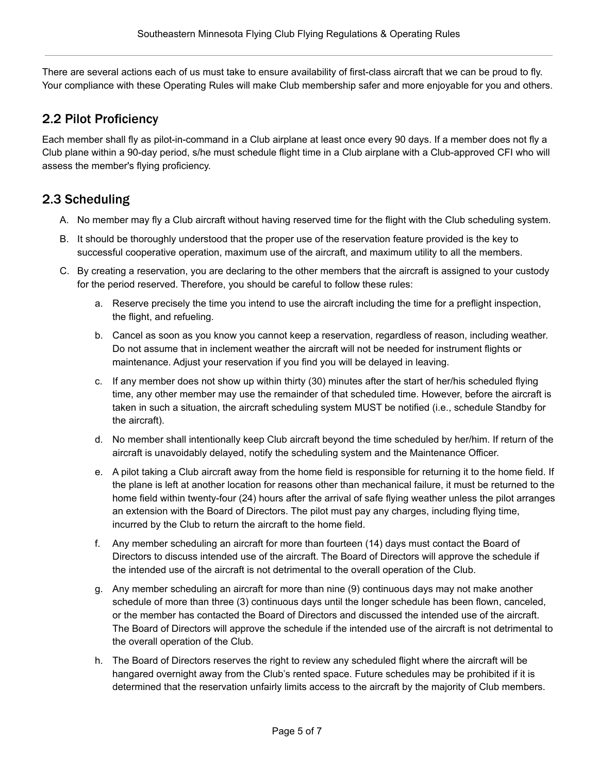There are several actions each of us must take to ensure availability of first-class aircraft that we can be proud to fly. Your compliance with these Operating Rules will make Club membership safer and more enjoyable for you and others.

#### <span id="page-4-0"></span>2.2 Pilot Proficiency

Each member shall fly as pilot-in-command in a Club airplane at least once every 90 days. If a member does not fly a Club plane within a 90-day period, s/he must schedule flight time in a Club airplane with a Club-approved CFI who will assess the member's flying proficiency.

## <span id="page-4-1"></span>2.3 Scheduling

- A. No member may fly a Club aircraft without having reserved time for the flight with the Club scheduling system.
- B. It should be thoroughly understood that the proper use of the reservation feature provided is the key to successful cooperative operation, maximum use of the aircraft, and maximum utility to all the members.
- C. By creating a reservation, you are declaring to the other members that the aircraft is assigned to your custody for the period reserved. Therefore, you should be careful to follow these rules:
	- a. Reserve precisely the time you intend to use the aircraft including the time for a preflight inspection, the flight, and refueling.
	- b. Cancel as soon as you know you cannot keep a reservation, regardless of reason, including weather. Do not assume that in inclement weather the aircraft will not be needed for instrument flights or maintenance. Adjust your reservation if you find you will be delayed in leaving.
	- c. If any member does not show up within thirty (30) minutes after the start of her/his scheduled flying time, any other member may use the remainder of that scheduled time. However, before the aircraft is taken in such a situation, the aircraft scheduling system MUST be notified (i.e., schedule Standby for the aircraft).
	- d. No member shall intentionally keep Club aircraft beyond the time scheduled by her/him. If return of the aircraft is unavoidably delayed, notify the scheduling system and the Maintenance Officer.
	- e. A pilot taking a Club aircraft away from the home field is responsible for returning it to the home field. If the plane is left at another location for reasons other than mechanical failure, it must be returned to the home field within twenty-four (24) hours after the arrival of safe flying weather unless the pilot arranges an extension with the Board of Directors. The pilot must pay any charges, including flying time, incurred by the Club to return the aircraft to the home field.
	- f. Any member scheduling an aircraft for more than fourteen (14) days must contact the Board of Directors to discuss intended use of the aircraft. The Board of Directors will approve the schedule if the intended use of the aircraft is not detrimental to the overall operation of the Club.
	- g. Any member scheduling an aircraft for more than nine (9) continuous days may not make another schedule of more than three (3) continuous days until the longer schedule has been flown, canceled, or the member has contacted the Board of Directors and discussed the intended use of the aircraft. The Board of Directors will approve the schedule if the intended use of the aircraft is not detrimental to the overall operation of the Club.
	- h. The Board of Directors reserves the right to review any scheduled flight where the aircraft will be hangared overnight away from the Club's rented space. Future schedules may be prohibited if it is determined that the reservation unfairly limits access to the aircraft by the majority of Club members.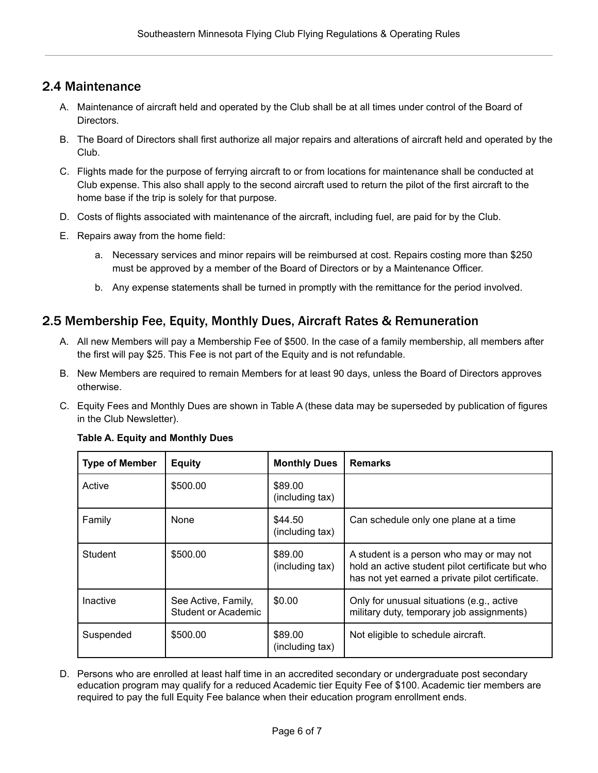#### <span id="page-5-0"></span>2.4 Maintenance

- A. Maintenance of aircraft held and operated by the Club shall be at all times under control of the Board of Directors.
- B. The Board of Directors shall first authorize all major repairs and alterations of aircraft held and operated by the Club.
- C. Flights made for the purpose of ferrying aircraft to or from locations for maintenance shall be conducted at Club expense. This also shall apply to the second aircraft used to return the pilot of the first aircraft to the home base if the trip is solely for that purpose.
- D. Costs of flights associated with maintenance of the aircraft, including fuel, are paid for by the Club.
- E. Repairs away from the home field:
	- a. Necessary services and minor repairs will be reimbursed at cost. Repairs costing more than \$250 must be approved by a member of the Board of Directors or by a Maintenance Officer.
	- b. Any expense statements shall be turned in promptly with the remittance for the period involved.

#### <span id="page-5-1"></span>2.5 Membership Fee, Equity, Monthly Dues, Aircraft Rates & Remuneration

- A. All new Members will pay a Membership Fee of \$500. In the case of a family membership, all members after the first will pay \$25. This Fee is not part of the Equity and is not refundable.
- B. New Members are required to remain Members for at least 90 days, unless the Board of Directors approves otherwise.
- C. Equity Fees and Monthly Dues are shown in Table A (these data may be superseded by publication of figures in the Club Newsletter).

| <b>Type of Member</b> | <b>Equity</b>                                     | <b>Monthly Dues</b>        | <b>Remarks</b>                                                                                                                                  |
|-----------------------|---------------------------------------------------|----------------------------|-------------------------------------------------------------------------------------------------------------------------------------------------|
| Active                | \$500.00                                          | \$89.00<br>(including tax) |                                                                                                                                                 |
| Family                | None                                              | \$44.50<br>(including tax) | Can schedule only one plane at a time                                                                                                           |
| Student               | \$500.00                                          | \$89.00<br>(including tax) | A student is a person who may or may not<br>hold an active student pilot certificate but who<br>has not yet earned a private pilot certificate. |
| Inactive              | See Active, Family,<br><b>Student or Academic</b> | \$0.00                     | Only for unusual situations (e.g., active<br>military duty, temporary job assignments)                                                          |
| Suspended             | \$500.00                                          | \$89.00<br>(including tax) | Not eligible to schedule aircraft.                                                                                                              |

#### **Table A. Equity and Monthly Dues**

D. Persons who are enrolled at least half time in an accredited secondary or undergraduate post secondary education program may qualify for a reduced Academic tier Equity Fee of \$100. Academic tier members are required to pay the full Equity Fee balance when their education program enrollment ends.